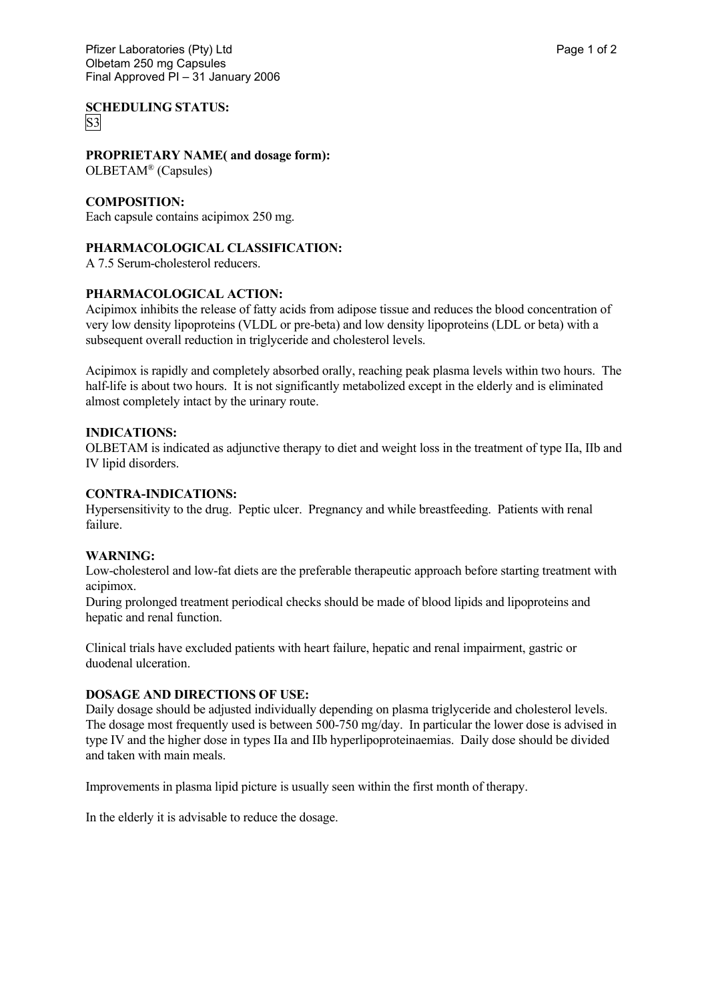**SCHEDULING STATUS:** S3

# **PROPRIETARY NAME( and dosage form):**

OLBETAM® (Capsules)

# **COMPOSITION:**

Each capsule contains acipimox 250 mg.

# **PHARMACOLOGICAL CLASSIFICATION:**

A 7.5 Serum-cholesterol reducers.

# **PHARMACOLOGICAL ACTION:**

Acipimox inhibits the release of fatty acids from adipose tissue and reduces the blood concentration of very low density lipoproteins (VLDL or pre-beta) and low density lipoproteins (LDL or beta) with a subsequent overall reduction in triglyceride and cholesterol levels.

Acipimox is rapidly and completely absorbed orally, reaching peak plasma levels within two hours. The half-life is about two hours. It is not significantly metabolized except in the elderly and is eliminated almost completely intact by the urinary route.

# **INDICATIONS:**

OLBETAM is indicated as adjunctive therapy to diet and weight loss in the treatment of type IIa, IIb and IV lipid disorders.

# **CONTRA-INDICATIONS:**

Hypersensitivity to the drug. Peptic ulcer. Pregnancy and while breastfeeding. Patients with renal failure.

## **WARNING:**

Low-cholesterol and low-fat diets are the preferable therapeutic approach before starting treatment with acipimox.

During prolonged treatment periodical checks should be made of blood lipids and lipoproteins and hepatic and renal function.

Clinical trials have excluded patients with heart failure, hepatic and renal impairment, gastric or duodenal ulceration.

## **DOSAGE AND DIRECTIONS OF USE:**

Daily dosage should be adjusted individually depending on plasma triglyceride and cholesterol levels. The dosage most frequently used is between 500-750 mg/day. In particular the lower dose is advised in type IV and the higher dose in types IIa and IIb hyperlipoproteinaemias. Daily dose should be divided and taken with main meals.

Improvements in plasma lipid picture is usually seen within the first month of therapy.

In the elderly it is advisable to reduce the dosage.